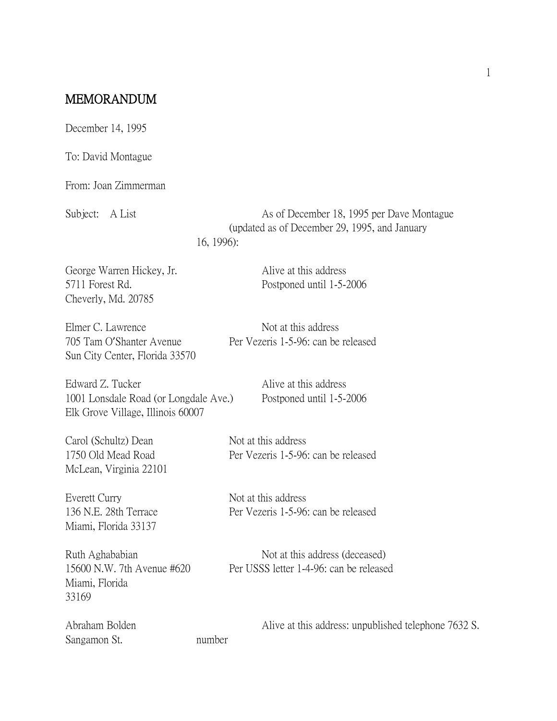## MEMORANDUM

December 14, 1995

To: David Montague

From: Joan Zimmerman

Subject: A List As of December 18, 1995 per Dave Montague (updated as of December 29, 1995, and January 16, 1996):

George Warren Hickey, Jr. Alive at this address 5711 Forest Rd. Postponed until 1-5-2006 Cheverly, Md. 20785

Elmer C. Lawrence Not at this address Sun City Center, Florida 33570

Edward Z. Tucker Alive at this address 1001 Lonsdale Road (or Longdale Ave.) Postponed until 1-5-2006 Elk Grove Village, Illinois 60007

Carol (Schultz) Dean Not at this address McLean, Virginia 22101

Everett Curry Not at this address Miami, Florida 33137

Miami, Florida 33169

Sangamon St. number

705 Tam O'Shanter Avenue Per Vezeris 1-5-96: can be released

1750 Old Mead Road Per Vezeris 1-5-96: can be released

136 N.E. 28th Terrace Per Vezeris 1-5-96: can be released

Ruth Aghababian Not at this address (deceased) 15600 N.W. 7th Avenue #620 Per USSS letter 1-4-96: can be released

Abraham Bolden Alive at this address: unpublished telephone 7632 S.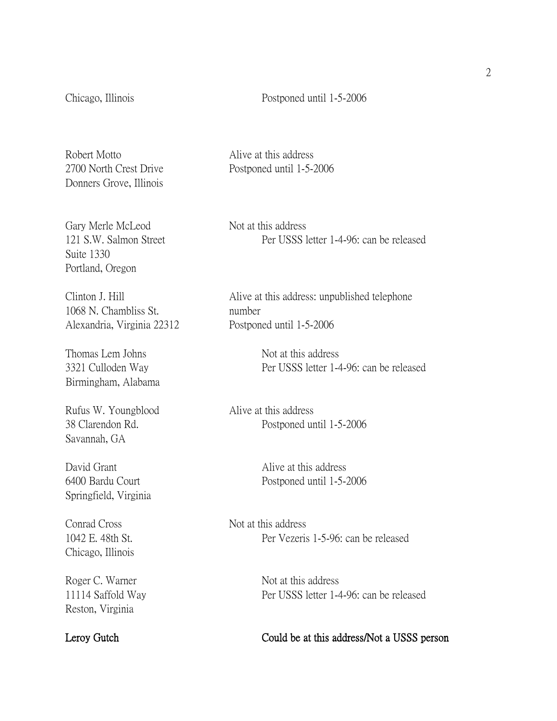Chicago, Illinois Postponed until 1-5-2006

Robert Motto **Alive at this address** Donners Grove, Illinois

2700 North Crest Drive Postponed until 1-5-2006

Gary Merle McLeod Not at this address Suite 1330 Portland, Oregon

1068 N. Chambliss St. number Alexandria, Virginia 22312 Postponed until 1-5-2006

Thomas Lem Johns Not at this address Birmingham, Alabama

Rufus W. Youngblood Alive at this address Savannah, GA

David Grant **Alive at this address** Springfield, Virginia

Conrad Cross Not at this address Chicago, Illinois

Roger C. Warner Not at this address Reston, Virginia

121 S.W. Salmon Street Per USSS letter 1-4-96: can be released

Clinton J. Hill Alive at this address: unpublished telephone

3321 Culloden Way Per USSS letter 1-4-96: can be released

38 Clarendon Rd. Postponed until 1-5-2006

6400 Bardu Court Postponed until 1-5-2006

1042 E. 48th St. Per Vezeris 1-5-96: can be released

11114 Saffold Way Per USSS letter 1-4-96: can be released

Leroy Gutch Could be at this address/Not a USSS person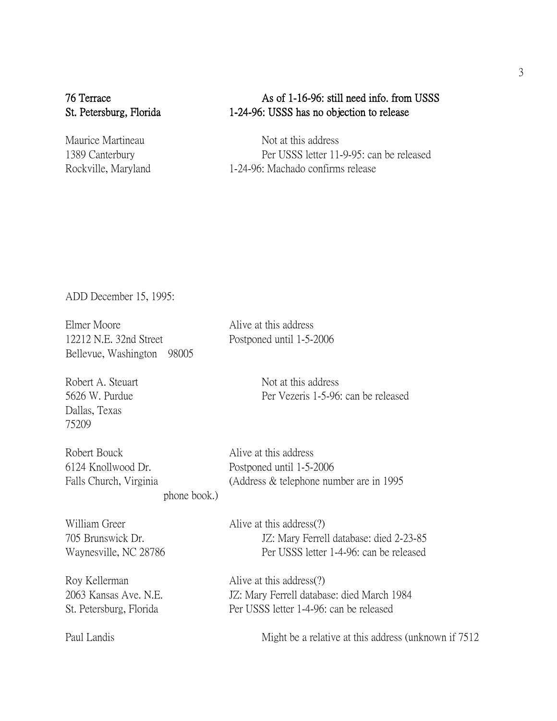## 76 Terrace As of 1-16-96: still need info. from USSS St. Petersburg, Florida 1-24-96: USSS has no objection to release

Maurice Martineau Not at this address 1389 Canterbury Per USSS letter 11-9-95: can be released Rockville, Maryland 1-24-96: Machado confirms release

ADD December 15, 1995:

Elmer Moore Alive at this address 12212 N.E. 32nd Street Postponed until 1-5-2006 Bellevue, Washington 98005

Dallas, Texas 75209

Robert A. Steuart Not at this address 5626 W. Purdue Per Vezeris 1-5-96: can be released

Robert Bouck Alive at this address 6124 Knollwood Dr. Postponed until 1-5-2006

Falls Church, Virginia (Address & telephone number are in 1995)

phone book.)

William Greer Alive at this address(?) 705 Brunswick Dr. JZ: Mary Ferrell database: died 2-23-85 Waynesville, NC 28786 Per USSS letter 1-4-96: can be released

Roy Kellerman Alive at this address(?) 2063 Kansas Ave. N.E. JZ: Mary Ferrell database: died March 1984 St. Petersburg, Florida Per USSS letter 1-4-96: can be released

Paul Landis Might be a relative at this address (unknown if  $7512$